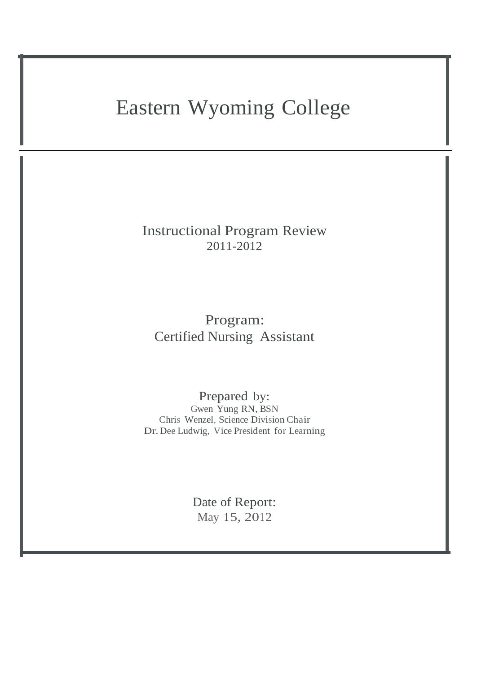# Eastern Wyoming College

Instructional Program Review 2011-2012

Program: Certified Nursing Assistant

Prepared by: Gwen Yung RN, BSN Chris Wenzel, Science Division Chair Dr. Dee Ludwig, Vice President for Learning

> Date of Report: May 15, 2012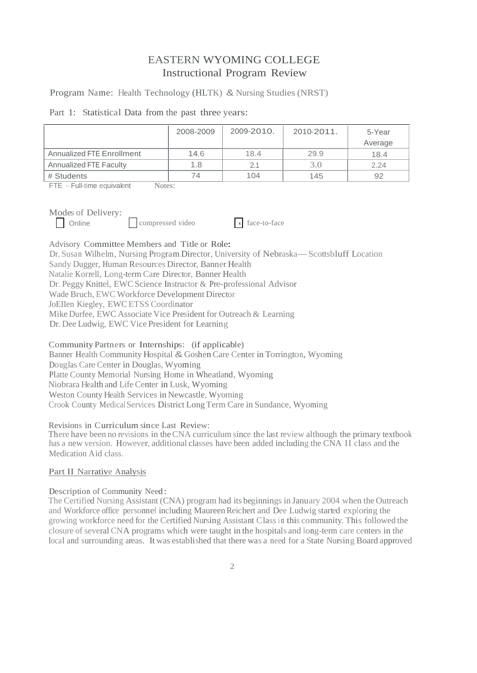# EASTERN WYOMING COLLEGE Instructional Program Review

Program Name: Health Technology (HLTK) & Nursing Studies (NRST)

|  |  |  |  |  |  | Part 1: Statistical Data from the past three years: |
|--|--|--|--|--|--|-----------------------------------------------------|
|--|--|--|--|--|--|-----------------------------------------------------|

|                           | 2008-2009 | 2009-2010. | 2010-2011. | 5-Year<br>Average |
|---------------------------|-----------|------------|------------|-------------------|
| Annualized FTE Enrollment | 14.6      | 18.4       | 29.9       | 18.4              |
| Annualized FTE Faculty    | 1.8       | 2.1        | 3.0        | 2.24              |
| # Students                | 74        | 104        | 145        | 92                |

FTE - Full-time equivalent Notes:

Modes of Delivery:<br>  $\Box$  Online compressed video

x face-to-face

Advisory Committee Members and Title or Role: Dr. Susan Wilhelm, Nursing Program Director, University of Nebraska—Scottsbluff Location Sandy Dugger, Human Resources Director, Banner Health Natalie Korrell, Long-term Care Director, Banner Health Dr. Peggy Knittel, EWCScience Instructor & Pre-professional Advisor Wade Bruch, EWC Workforce Development Director JoEIIen Kiegley, EWCETSS Coordinator Mike Durfee, EWC Associate Vice President for Outreach & Learning Dr. Dee Ludwig, EWC Vice President for Learning

Community Partners or Internships: (if applicable) Banner Health Community Hospital & Goshen Care Center in Torrington, Wyoming Douglas CareCenter in Douglas, Wyoming Platte County Memorial Nursing Home in Wheatland, Wyoming Niobrara Health and Life Center in Lusk, Wyoming Weston County Health Services in Newcastle, Wyoming Crook County Medical Services District LongTerm Care in Sundance, Wyoming

# Revisions in Curriculum since Last Review:

There have been no revisions in the CNA curriculum since the last review although the primary textbook has a new version. However, additional classes have been added including the CNA II class and the Medication Aid class.

# Part II Narrative Analysis

# Description of Community Need:

The Certified Nursing Assistant (CNA) program had its beginnings in January 2004 when the Outreach and Workforce office personnel including MaureenReichert and Dee Ludwig started exploring the growing workforce need for the Certified Nursing Assistant Class in this community. This followed the closure of several CNA programs which were taught in the hospitals and long-term care centers in the local and surrounding areas. It was established that there was a need for a State Nursing Board approved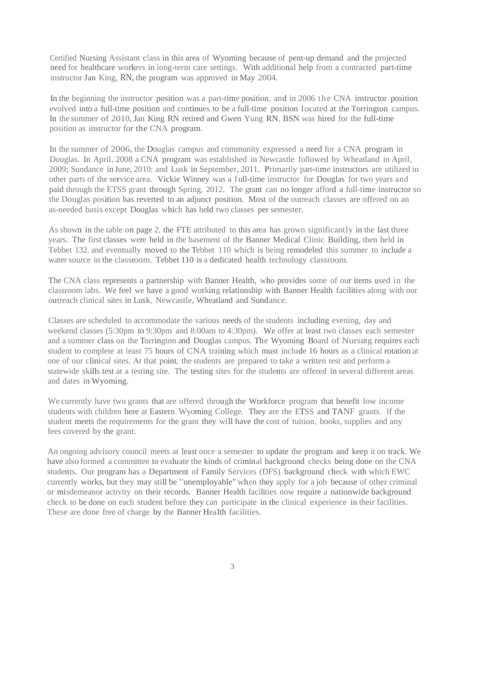Certified Nursing Assistant class in this area of Wyoming because of pent-up demand and the projected need for healthcare workers in long-term care settings. With additional help from a contracted part-time instructor Jan King, RN, the program was approved in May 2004.

In the beginning the instructor position was a part-time position, and in 2006 the CNA instructor position evolved into a full-time position and continues to be a full-time position l ocated at the Torrington campus. In the summer of 2010, Jan King RN retired and Gwen Yung RN, BSN was hired for the full-time position as instructor for the CNA program.

In the summer of 2006, the Douglas campus and community expressed a need for a CNA program in Douglas. In April, 2008 a CNA program was established in Newcastle followed by Wheatland in April, 2009; Sundance in June,2010; and Lusk in September, 2011. Primarily part-time instructors are utilized in other parts of the service area. Vickie Winney was a full-time instructor for Douglas for two years and paid through the ETSS grant through Spring, 2012. The grant can no longer afford a full-time instructor so the Douglas position has reverted to an adjunct position. Most of the outreach classes are offered on an as-needed basis except Douglas which has held two classes per semester.

As shown in the table on page 2, the FTE attributed to this area has grown significantly in the last three years. The first classes were held in the basement of the Banner Medical Clinic Building, then held in Tebbet 132, and eventually moved to the Tebbet 110 which is being remodeled this summer to include a water source in the classroom. Tebbet 110 is a dedicated health technology classroom.

The CNA class represents a partnership with Banner Health, who provides some of our items used in the classroom labs. We feel we have a good working relationship with Banner Health facilities along with our outreach clinical sites in Lusk, Newcastle,Wheatland and Sundance.

Classes are scheduled to accommodate the various needs of the students including evening, day and weekend classes (5:30pm to 9:30pm and 8:00am to 4:30pm). We offer at least two classes each semester and a summer class on the Torrington and Douglas campus. The Wyoming Board of Nursing requires each student to complete at least 75 hours of CNA training which must include 16 hours as a clinical rotation at one of our clinical sites. At that point, the students are prepared to take a written test and perform a statewide skills test at a testing site. The testing sites for the students are offered in several different areas and dates in Wyoming.

We currently have two grants that are offered through the Workforce program that benefit low income students with children here at Eastern Wyoming College. They are the ETSS and TANF grants. If the student meets the requirements for the grant they will have the cost of tuition, books, supplies and any fees covered by the grant.

An ongoing advisory council meets at least once a semester to update the program and keep it on track. We have also formed a committee to evaluate the kinds of criminal background checks being done on the CNA students. Our program has a Department of Family Services (DFS) background check with which EWC currently works, but they may still be "unemployable" when they apply for <sup>a</sup> job because of other criminal or misdemeanor activity on their records. Banner Health facilities now require a nationwide background check to be done on each student before they can participate in the clinical experience in their facilities. These are done free of charge by the Banner Health facilities.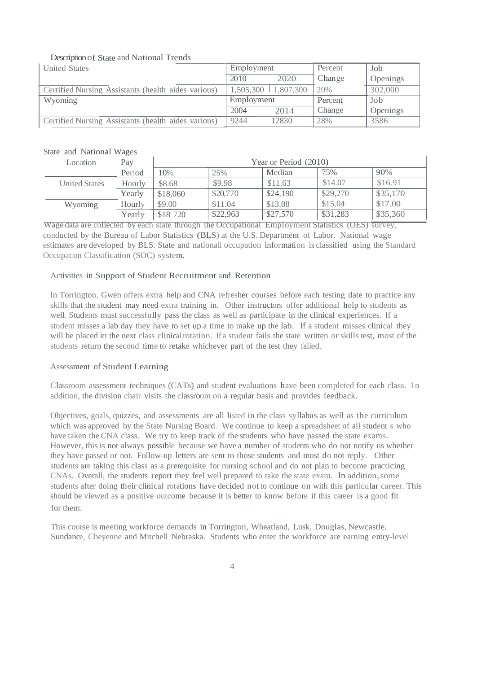# Description of State and National Trends

| <b>United States</b>                                | Employment              |       | Percent | Job      |
|-----------------------------------------------------|-------------------------|-------|---------|----------|
|                                                     | 2010                    | 2020  | Change  | Openings |
| Certified Nursing Assistants (health aides various) | $1,505,300$   1,807,300 |       | 20%     | 302,000  |
| Wyoming                                             | Employment              |       | Percent | Job      |
|                                                     | 2004                    | 2014  | Change  | Openings |
| Certified Nursing Assistants (health aides various) | 9244                    | 12830 | 28%     | 3586     |

State and National Wages

| Location             | Pay    | Year or Period (2010) |          |          |          |          |
|----------------------|--------|-----------------------|----------|----------|----------|----------|
|                      | Period | 10%                   | 25%      | Median   | 75%      | 90%      |
| <b>United States</b> | Hourly | \$8.68                | \$9.98   | \$11.63  | \$14.07  | \$16.91  |
|                      | Yearlv | \$18,060              | \$20,770 | \$24,190 | \$29,270 | \$35,170 |
| Wyoming              | Hourly | \$9.00                | \$11.04  | \$13.08  | \$15.04  | \$17.00  |
|                      | Yearly | \$18 720              | \$22,963 | \$27,570 | \$31,283 | \$35,360 |

Wage data are collected by each state through the Occupational Employment Statistics (OES) survey, conducted by the Bureau of Labor Statistics (BLS) at the U.S. Department of Labor. National wage estimates are developed by BLS. State and nationall occupation information is classified using the Standard Occupation Classification (SOC) system.

# Activities in Support of Student Recruitment and Retention

In Torrington, Gwen offers extra help and CNA refresher courses before each testing date to practice any skills that the student may need extra training in. Other instructors offer additional help to students as well. Students must successfully pass the class as well as participate in the clinical experiences. lf a student misses a lab day they have to set up a time to make up the lab. If a student misses clinical they will be placed in the next class clinical rotation. If a student fails the state written or skills test, most of the students return the second time to retake whichever part of the test they failed.

# Assessment of Student Learning

Classroom assessment techniques (CATs) and student evaluations have been completed for each class. I n addition, the division chair visits the classroom on a regular basis and provides feedback.

Objectives, goals, quizzes, and assessments are all listed in the class syllabus as well as the curriculum which was approved by the State Nursing Board. We continue to keep a spreadsheet of all student s who have taken the CNA class. We try to keep track of the students who have passed the state exams. However, this is not always possible because we have a number of students who do not notify us whether they have passed or not. Follow-up letters are sent to those students and most do not reply. Other students are taking this class as a prerequisite for nursing school and do not plan to become practicing CNAs. Overall, the students report they feel well prepared to take the state exam. In addition,some students after doing their clinical rotations have decided not to continue on with this particular career. This should be viewed as a positive outcome because it is better to know before if this career is a good fit for them.

This course is meeting workforce demands in Torrington, Wheatland, Lusk, Douglas, Newcastle, Sundance, Cheyenne and Mitchell Nebraska. Students who enter the workforce are earning entry-level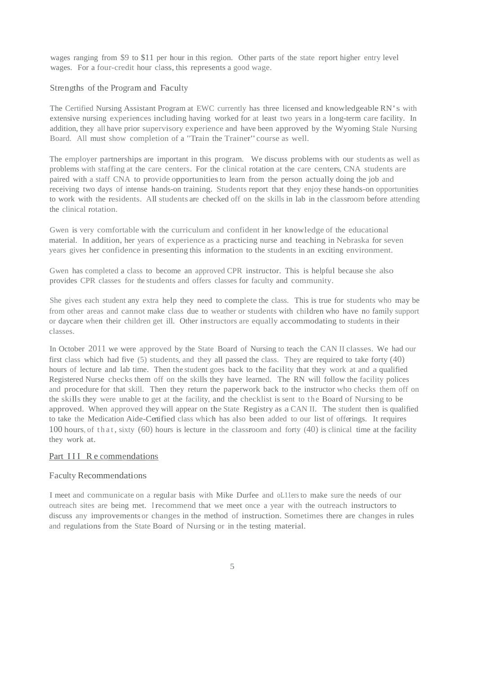wages ranging from \$9 to \$11 per hour in this region. Other parts of the state report higher entry level wages. For a four-credit hour class, this represents a good wage.

#### Strengths of the Program and Faculty

The Certified Nursing Assistant Program at EWC currently has three licensed and knowledgeable RN's with extensive nursing experiences including having worked for at least two years in a long-term care facility. In addition, they all have prior supervisory experience and have been approved by the Wyoming Stale Nursing Board. All must show completion of <sup>a</sup> "Train the Trainer"course as well.

The employer partnerships are important in this program. We discuss problems with our students as well as problems with staffing at the care centers. For the clinical rotation at the care centers, CNA students are paired with a staff CNA to provide opportunitiesto learn from the person actually doing the job and receiving two days of intense hands-on training. Students report that they enjoy these hands-on opportunities to work with the residents. All students are checked off on the skills in lab in the classroom before attending the clinical rotation.

Gwen is very comfortable with the curriculum and confident in her knowledge of the educational material. In addition, her years of experience as a practicing nurse and teaching in Nebraska for seven years gives her confidence in presenting this information to the students in an exciting environment.

Gwen has completed a class to become an approved CPR instructor. This is helpful because she also provides CPR classes for the students and offers classes for faculty and community.

She gives each student any extra help they need to complete the class. This is true for students who may be from other areas and cannot make class due to weather or students with children who have no family support or daycare when their children get ill. Other instructors are equally accommodating to students in their classes.

In October 2011 we were approved by the State Board of Nursing to teach the CAN II classes. We had our first class which had five (5) students, and they all passed the class. They are required to take forty (40) hours of lecture and lab time. Then the student goes back to the facility that they work at and a qualified Registered Nurse checks them off on the skills they have learned. The RN will follow the facility polices and procedure for that skill. Then they return the paperwork back to the instructor who checks them off on the skills they were unable to get at the facility, and the checklist is sent to the Board of Nursing to be approved. When approved they will appear on the State Registry as a CAN II. The student then is qualified to take the Medication Aide-Certified class which has also been added to our list of offerings. It requires 100 hours, of that, sixty (60) hours is lecture in the classroom and forty (40) is clinical time at the facility they work at.

#### Part III R e commendations

#### Faculty Recommendations

I meet and communicate on a regular basis with Mike Durfee and oL11ers to make sure the needs of our outreach sites are being met. I recommend that we meet once a year with the outreach instructors to discuss any improvements or changes in the method of instruction. Sometimes there are changes in rules and regulations from the State Board of Nursing or in the testing material.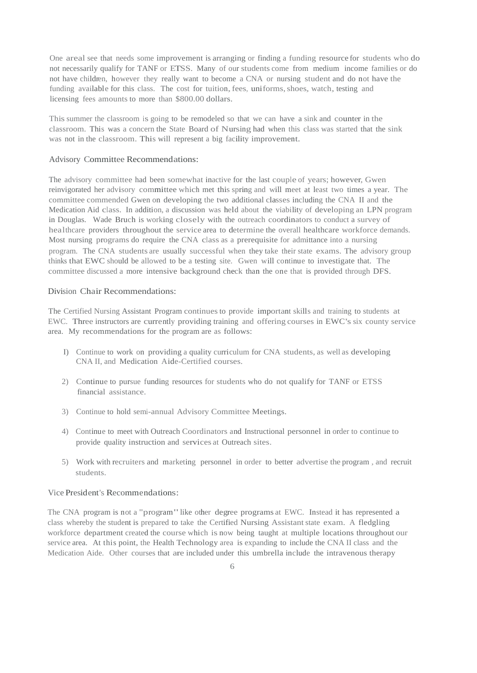One areal see that needs some improvement is arranging or finding a funding resource for students who do not necessarily qualify for TANF or ETSS. Many of our students come from medium income families or do not have children, however they really want to become a CNA or nursing student and do not have the funding available for this class. The cost for tuition, fees, uniforms, shoes, watch, testing and licensing fees amounts to more than \$800.00 dollars.

Thissummer the classroom is going to be remodeled so that we can have a sink and counter in the classroom. This was a concern the State Board of Nursing had when this class was started that the sink was not in the classroom. This will represent a big facility improvement.

#### Advisory Committee Recommendations:

The advisory committee had been somewhat inactive for the last couple of years; however, Gwen reinvigorated her advisory committee which met this spring and will meet at least two times a year. The committee commended Gwen on developing the two additional classes including the CNA II and the Medication Aid class. In addition, a discussion was held about the viability of developing an LPN program in Douglas. Wade Bruch is working closely with the outreach coordinators to conduct a survey of healthcare providers throughout the service area to determine the overall healthcare workforce demands. Most nursing programs do require the CNA class as a prerequisite for admittance into a nursing program. The CNA students are usually successful when they take their state exams. The advisory group thinks that EWC should be allowed to be a testing site. Gwen will continue to investigate that. The committee discussed a more intensive background check than the one that is provided through DFS.

#### Division Chair Recommendations:

The Certified Nursing Assistant Program continues to provide important skills and training to students at EWC. Three instructors are currently providing training and offering courses in EWC's six county service area. My recommendations for the program are as follows:

- I) Continue to work on providing a quality curriculum for CNA students, as well as developing CNA II, and Medication Aide-Certified courses.
- 2) Continue to pursue funding resources for students who do not qualify for TANF or ETSS financial assistance.
- 3) Continue to hold semi-annual Advisory Committee Meetings.
- 4) Continue to meet with Outreach Coordinators and Instructional personnel in order to continue to provide quality instruction and services at Outreach sites.
- 5) Work with recruiters and marketing personnel in order to better advertise the program , and recruit students.

#### Vice President's Recommendations:

The CNA program is not a "program" like other degree programs at EWC. Instead it has represented a class whereby the student is prepared to take the Certified Nursing Assistant state exam. A fledgling workforce department created the course which is now being taught at multiple locations throughout our service area. At this point, the Health Technology area is expanding to include the CNA II class and the Medication Aide. Other courses that are included under this umbrella include the intravenous therapy